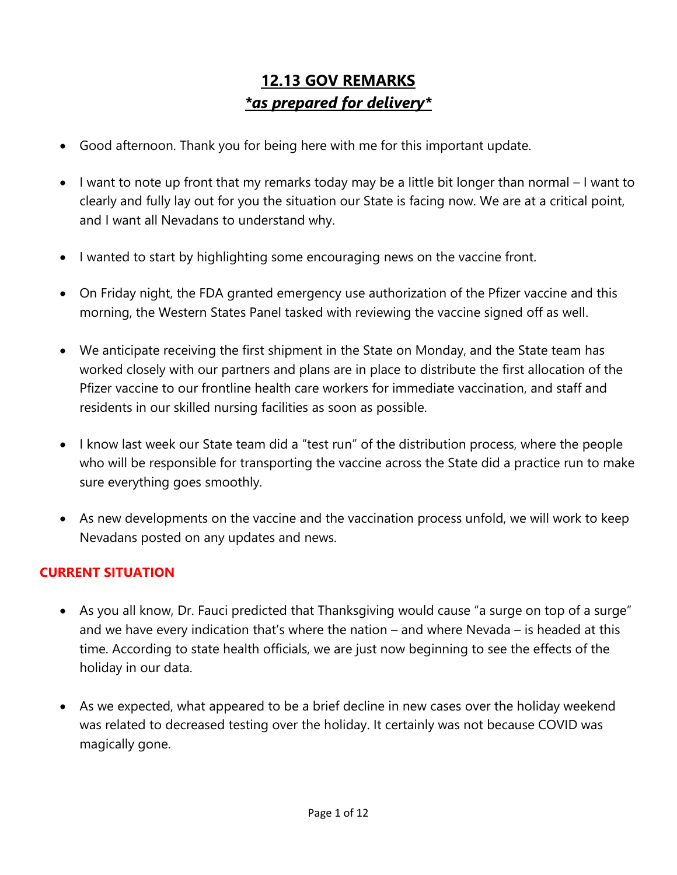# **12.13 GOV REMARKS** *\*as prepared for delivery\**

- Good afternoon. Thank you for being here with me for this important update.
- I want to note up front that my remarks today may be a little bit longer than normal I want to clearly and fully lay out for you the situation our State is facing now. We are at a critical point, and I want all Nevadans to understand why.
- I wanted to start by highlighting some encouraging news on the vaccine front.
- On Friday night, the FDA granted emergency use authorization of the Pfizer vaccine and this morning, the Western States Panel tasked with reviewing the vaccine signed off as well.
- We anticipate receiving the first shipment in the State on Monday, and the State team has worked closely with our partners and plans are in place to distribute the first allocation of the Pfizer vaccine to our frontline health care workers for immediate vaccination, and staff and residents in our skilled nursing facilities as soon as possible.
- I know last week our State team did a "test run" of the distribution process, where the people who will be responsible for transporting the vaccine across the State did a practice run to make sure everything goes smoothly.
- As new developments on the vaccine and the vaccination process unfold, we will work to keep Nevadans posted on any updates and news.

## **CURRENT SITUATION**

- As you all know, Dr. Fauci predicted that Thanksgiving would cause "a surge on top of a surge" and we have every indication that's where the nation – and where Nevada – is headed at this time. According to state health officials, we are just now beginning to see the effects of the holiday in our data.
- As we expected, what appeared to be a brief decline in new cases over the holiday weekend was related to decreased testing over the holiday. It certainly was not because COVID was magically gone.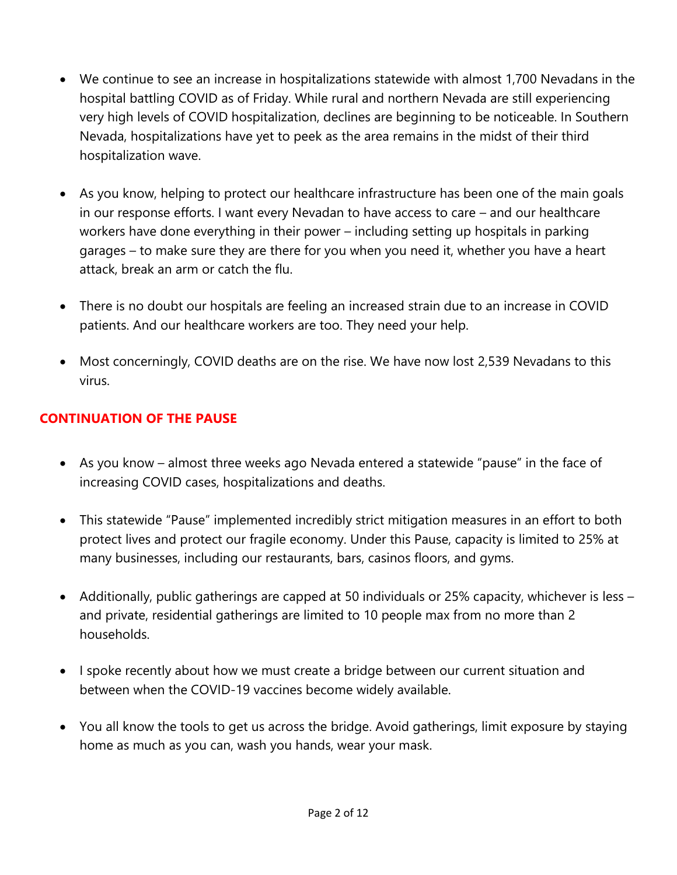- We continue to see an increase in hospitalizations statewide with almost 1,700 Nevadans in the hospital battling COVID as of Friday. While rural and northern Nevada are still experiencing very high levels of COVID hospitalization, declines are beginning to be noticeable. In Southern Nevada, hospitalizations have yet to peek as the area remains in the midst of their third hospitalization wave.
- As you know, helping to protect our healthcare infrastructure has been one of the main goals in our response efforts. I want every Nevadan to have access to care – and our healthcare workers have done everything in their power – including setting up hospitals in parking garages – to make sure they are there for you when you need it, whether you have a heart attack, break an arm or catch the flu.
- There is no doubt our hospitals are feeling an increased strain due to an increase in COVID patients. And our healthcare workers are too. They need your help.
- Most concerningly, COVID deaths are on the rise. We have now lost 2,539 Nevadans to this virus.

#### **CONTINUATION OF THE PAUSE**

- As you know almost three weeks ago Nevada entered a statewide "pause" in the face of increasing COVID cases, hospitalizations and deaths.
- This statewide "Pause" implemented incredibly strict mitigation measures in an effort to both protect lives and protect our fragile economy. Under this Pause, capacity is limited to 25% at many businesses, including our restaurants, bars, casinos floors, and gyms.
- Additionally, public gatherings are capped at 50 individuals or 25% capacity, whichever is less and private, residential gatherings are limited to 10 people max from no more than 2 households.
- I spoke recently about how we must create a bridge between our current situation and between when the COVID-19 vaccines become widely available.
- You all know the tools to get us across the bridge. Avoid gatherings, limit exposure by staying home as much as you can, wash you hands, wear your mask.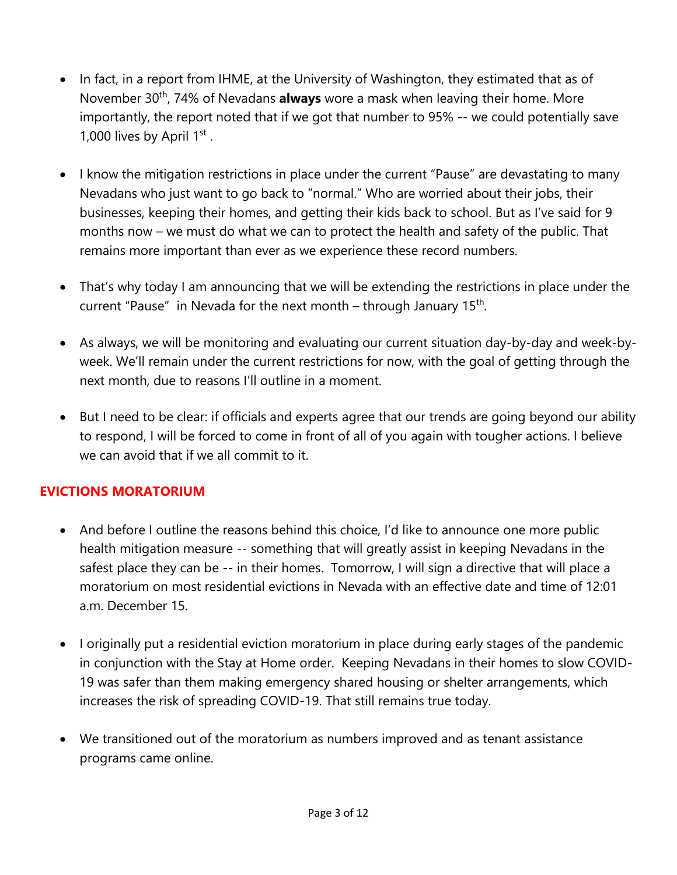- In fact, in a report from IHME, at the University of Washington, they estimated that as of November 30<sup>th</sup>, 74% of Nevadans **always** wore a mask when leaving their home. More importantly, the report noted that if we got that number to 95% -- we could potentially save 1,000 lives by April 1st.
- I know the mitigation restrictions in place under the current "Pause" are devastating to many Nevadans who just want to go back to "normal." Who are worried about their jobs, their businesses, keeping their homes, and getting their kids back to school. But as I've said for 9 months now – we must do what we can to protect the health and safety of the public. That remains more important than ever as we experience these record numbers.
- That's why today I am announcing that we will be extending the restrictions in place under the current "Pause" in Nevada for the next month – through January  $15<sup>th</sup>$ .
- As always, we will be monitoring and evaluating our current situation day-by-day and week-byweek. We'll remain under the current restrictions for now, with the goal of getting through the next month, due to reasons I'll outline in a moment.
- But I need to be clear: if officials and experts agree that our trends are going beyond our ability to respond, I will be forced to come in front of all of you again with tougher actions. I believe we can avoid that if we all commit to it.

#### **EVICTIONS MORATORIUM**

- And before I outline the reasons behind this choice, I'd like to announce one more public health mitigation measure -- something that will greatly assist in keeping Nevadans in the safest place they can be -- in their homes. Tomorrow, I will sign a directive that will place a moratorium on most residential evictions in Nevada with an effective date and time of 12:01 a.m. December 15.
- I originally put a residential eviction moratorium in place during early stages of the pandemic in conjunction with the Stay at Home order. Keeping Nevadans in their homes to slow COVID-19 was safer than them making emergency shared housing or shelter arrangements, which increases the risk of spreading COVID-19. That still remains true today.
- We transitioned out of the moratorium as numbers improved and as tenant assistance programs came online.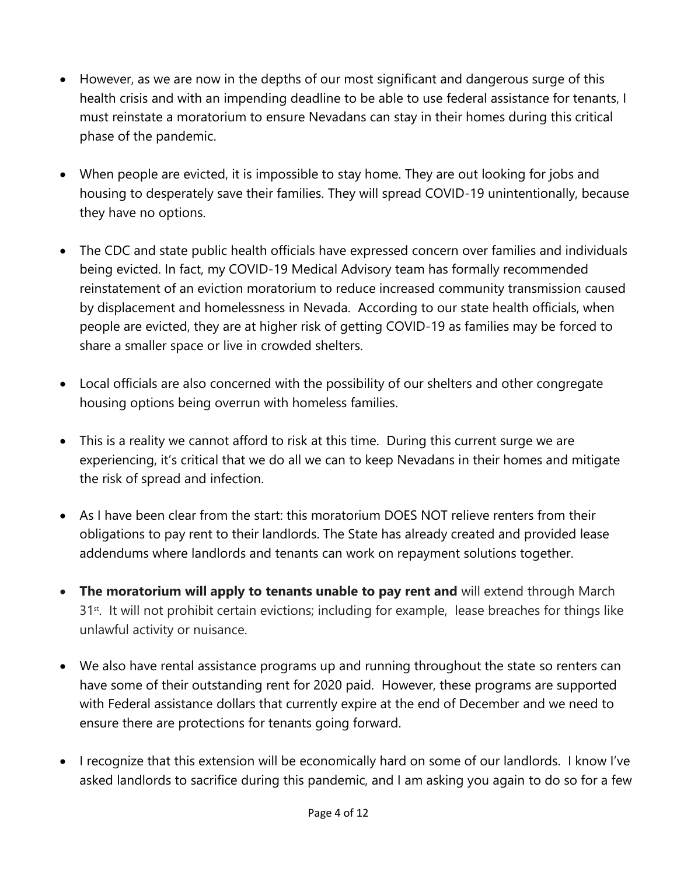- However, as we are now in the depths of our most significant and dangerous surge of this health crisis and with an impending deadline to be able to use federal assistance for tenants, I must reinstate a moratorium to ensure Nevadans can stay in their homes during this critical phase of the pandemic.
- When people are evicted, it is impossible to stay home. They are out looking for jobs and housing to desperately save their families. They will spread COVID-19 unintentionally, because they have no options.
- The CDC and state public health officials have expressed concern over families and individuals being evicted. In fact, my COVID-19 Medical Advisory team has formally recommended reinstatement of an eviction moratorium to reduce increased community transmission caused by displacement and homelessness in Nevada. According to our state health officials, when people are evicted, they are at higher risk of getting COVID-19 as families may be forced to share a smaller space or live in crowded shelters.
- Local officials are also concerned with the possibility of our shelters and other congregate housing options being overrun with homeless families.
- This is a reality we cannot afford to risk at this time. During this current surge we are experiencing, it's critical that we do all we can to keep Nevadans in their homes and mitigate the risk of spread and infection.
- As I have been clear from the start: this moratorium DOES NOT relieve renters from their obligations to pay rent to their landlords. The State has already created and provided lease addendums where landlords and tenants can work on repayment solutions together.
- **The moratorium will apply to tenants unable to pay rent and** will extend through March 31<sup>st</sup>. It will not prohibit certain evictions; including for example, lease breaches for things like unlawful activity or nuisance.
- We also have rental assistance programs up and running throughout the state so renters can have some of their outstanding rent for 2020 paid. However, these programs are supported with Federal assistance dollars that currently expire at the end of December and we need to ensure there are protections for tenants going forward.
- I recognize that this extension will be economically hard on some of our landlords. I know I've asked landlords to sacrifice during this pandemic, and I am asking you again to do so for a few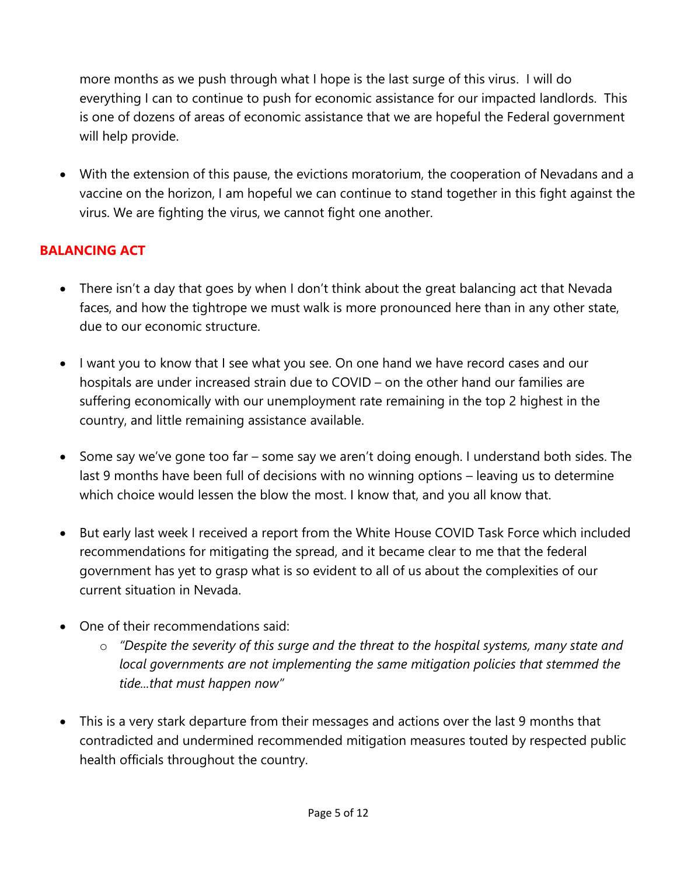more months as we push through what I hope is the last surge of this virus. I will do everything I can to continue to push for economic assistance for our impacted landlords. This is one of dozens of areas of economic assistance that we are hopeful the Federal government will help provide.

• With the extension of this pause, the evictions moratorium, the cooperation of Nevadans and a vaccine on the horizon, I am hopeful we can continue to stand together in this fight against the virus. We are fighting the virus, we cannot fight one another.

### **BALANCING ACT**

- There isn't a day that goes by when I don't think about the great balancing act that Nevada faces, and how the tightrope we must walk is more pronounced here than in any other state, due to our economic structure.
- I want you to know that I see what you see. On one hand we have record cases and our hospitals are under increased strain due to COVID – on the other hand our families are suffering economically with our unemployment rate remaining in the top 2 highest in the country, and little remaining assistance available.
- Some say we've gone too far some say we aren't doing enough. I understand both sides. The last 9 months have been full of decisions with no winning options – leaving us to determine which choice would lessen the blow the most. I know that, and you all know that.
- But early last week I received a report from the White House COVID Task Force which included recommendations for mitigating the spread, and it became clear to me that the federal government has yet to grasp what is so evident to all of us about the complexities of our current situation in Nevada.
- One of their recommendations said:
	- o *"Despite the severity of this surge and the threat to the hospital systems, many state and local governments are not implementing the same mitigation policies that stemmed the tide...that must happen now"*
- This is a very stark departure from their messages and actions over the last 9 months that contradicted and undermined recommended mitigation measures touted by respected public health officials throughout the country.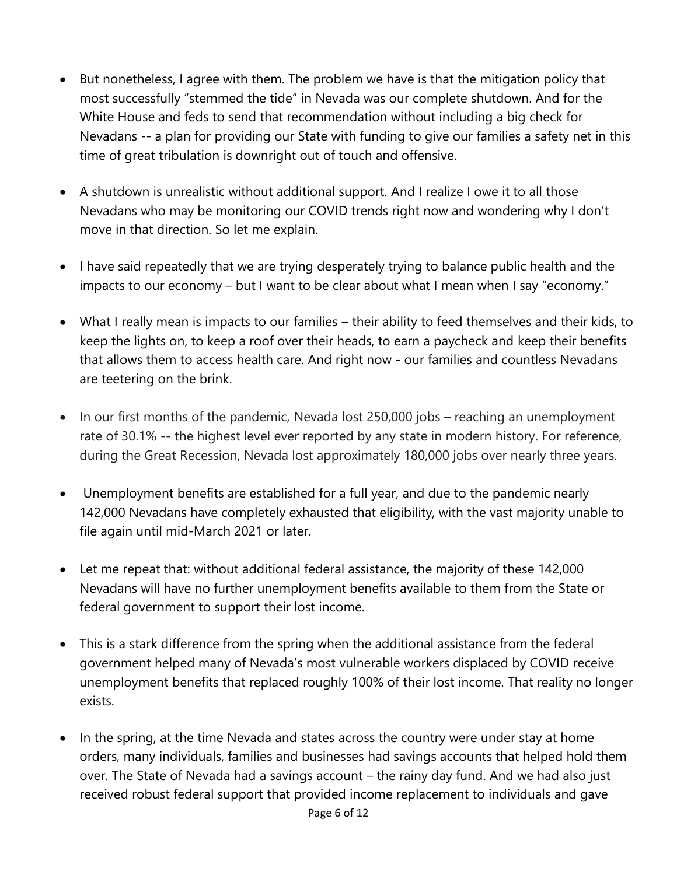- But nonetheless, I agree with them. The problem we have is that the mitigation policy that most successfully "stemmed the tide" in Nevada was our complete shutdown. And for the White House and feds to send that recommendation without including a big check for Nevadans -- a plan for providing our State with funding to give our families a safety net in this time of great tribulation is downright out of touch and offensive.
- A shutdown is unrealistic without additional support. And I realize I owe it to all those Nevadans who may be monitoring our COVID trends right now and wondering why I don't move in that direction. So let me explain.
- I have said repeatedly that we are trying desperately trying to balance public health and the impacts to our economy – but I want to be clear about what I mean when I say "economy."
- What I really mean is impacts to our families their ability to feed themselves and their kids, to keep the lights on, to keep a roof over their heads, to earn a paycheck and keep their benefits that allows them to access health care. And right now - our families and countless Nevadans are teetering on the brink.
- In our first months of the pandemic, Nevada lost 250,000 jobs reaching an unemployment rate of 30.1% -- the highest level ever reported by any state in modern history. For reference, during the Great Recession, Nevada lost approximately 180,000 jobs over nearly three years.
- Unemployment benefits are established for a full year, and due to the pandemic nearly 142,000 Nevadans have completely exhausted that eligibility, with the vast majority unable to file again until mid-March 2021 or later.
- Let me repeat that: without additional federal assistance, the majority of these 142,000 Nevadans will have no further unemployment benefits available to them from the State or federal government to support their lost income.
- This is a stark difference from the spring when the additional assistance from the federal government helped many of Nevada's most vulnerable workers displaced by COVID receive unemployment benefits that replaced roughly 100% of their lost income. That reality no longer exists.
- In the spring, at the time Nevada and states across the country were under stay at home orders, many individuals, families and businesses had savings accounts that helped hold them over. The State of Nevada had a savings account – the rainy day fund. And we had also just received robust federal support that provided income replacement to individuals and gave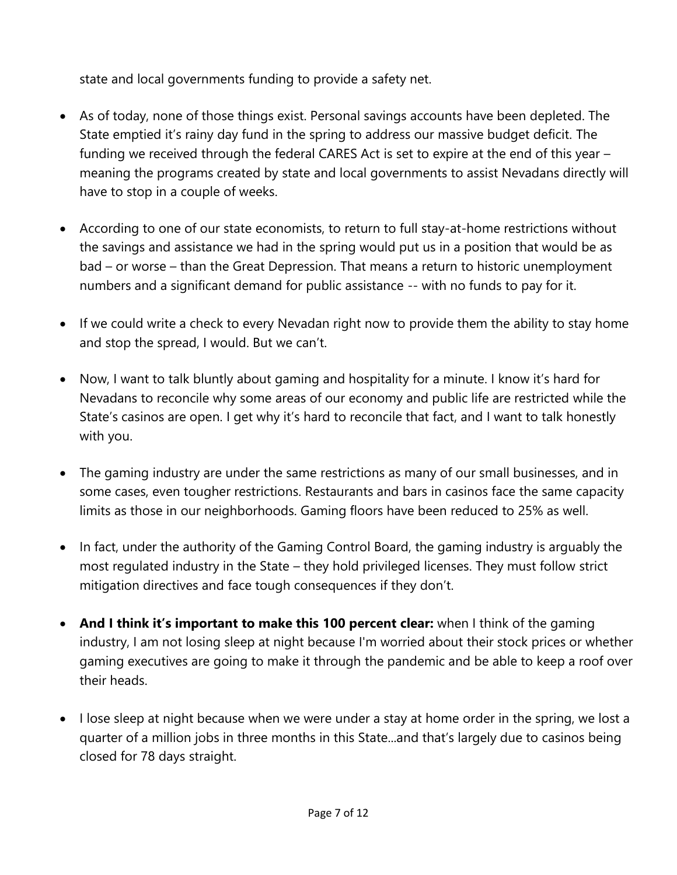state and local governments funding to provide a safety net.

- As of today, none of those things exist. Personal savings accounts have been depleted. The State emptied it's rainy day fund in the spring to address our massive budget deficit. The funding we received through the federal CARES Act is set to expire at the end of this year – meaning the programs created by state and local governments to assist Nevadans directly will have to stop in a couple of weeks.
- According to one of our state economists, to return to full stay-at-home restrictions without the savings and assistance we had in the spring would put us in a position that would be as bad – or worse – than the Great Depression. That means a return to historic unemployment numbers and a significant demand for public assistance -- with no funds to pay for it.
- If we could write a check to every Nevadan right now to provide them the ability to stay home and stop the spread, I would. But we can't.
- Now, I want to talk bluntly about gaming and hospitality for a minute. I know it's hard for Nevadans to reconcile why some areas of our economy and public life are restricted while the State's casinos are open. I get why it's hard to reconcile that fact, and I want to talk honestly with you.
- The gaming industry are under the same restrictions as many of our small businesses, and in some cases, even tougher restrictions. Restaurants and bars in casinos face the same capacity limits as those in our neighborhoods. Gaming floors have been reduced to 25% as well.
- In fact, under the authority of the Gaming Control Board, the gaming industry is arguably the most regulated industry in the State – they hold privileged licenses. They must follow strict mitigation directives and face tough consequences if they don't.
- **And I think it's important to make this 100 percent clear:** when I think of the gaming industry, I am not losing sleep at night because I'm worried about their stock prices or whether gaming executives are going to make it through the pandemic and be able to keep a roof over their heads.
- I lose sleep at night because when we were under a stay at home order in the spring, we lost a quarter of a million jobs in three months in this State...and that's largely due to casinos being closed for 78 days straight.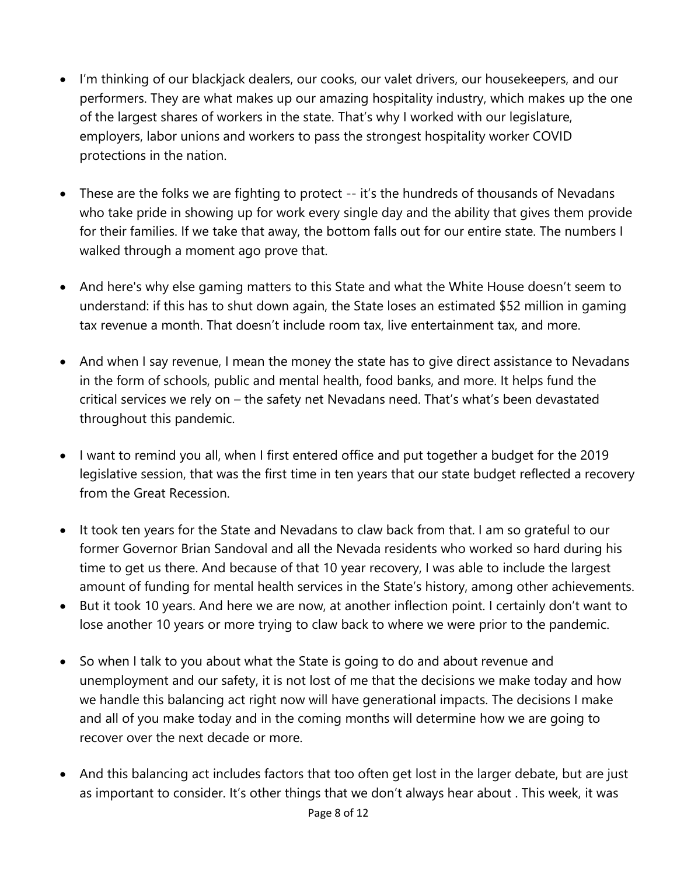- I'm thinking of our blackjack dealers, our cooks, our valet drivers, our housekeepers, and our performers. They are what makes up our amazing hospitality industry, which makes up the one of the largest shares of workers in the state. That's why I worked with our legislature, employers, labor unions and workers to pass the strongest hospitality worker COVID protections in the nation.
- These are the folks we are fighting to protect -- it's the hundreds of thousands of Nevadans who take pride in showing up for work every single day and the ability that gives them provide for their families. If we take that away, the bottom falls out for our entire state. The numbers I walked through a moment ago prove that.
- And here's why else gaming matters to this State and what the White House doesn't seem to understand: if this has to shut down again, the State loses an estimated \$52 million in gaming tax revenue a month. That doesn't include room tax, live entertainment tax, and more.
- And when I say revenue, I mean the money the state has to give direct assistance to Nevadans in the form of schools, public and mental health, food banks, and more. It helps fund the critical services we rely on – the safety net Nevadans need. That's what's been devastated throughout this pandemic.
- I want to remind you all, when I first entered office and put together a budget for the 2019 legislative session, that was the first time in ten years that our state budget reflected a recovery from the Great Recession.
- It took ten years for the State and Nevadans to claw back from that. I am so grateful to our former Governor Brian Sandoval and all the Nevada residents who worked so hard during his time to get us there. And because of that 10 year recovery, I was able to include the largest amount of funding for mental health services in the State's history, among other achievements.
- But it took 10 years. And here we are now, at another inflection point. I certainly don't want to lose another 10 years or more trying to claw back to where we were prior to the pandemic.
- So when I talk to you about what the State is going to do and about revenue and unemployment and our safety, it is not lost of me that the decisions we make today and how we handle this balancing act right now will have generational impacts. The decisions I make and all of you make today and in the coming months will determine how we are going to recover over the next decade or more.
- And this balancing act includes factors that too often get lost in the larger debate, but are just as important to consider. It's other things that we don't always hear about . This week, it was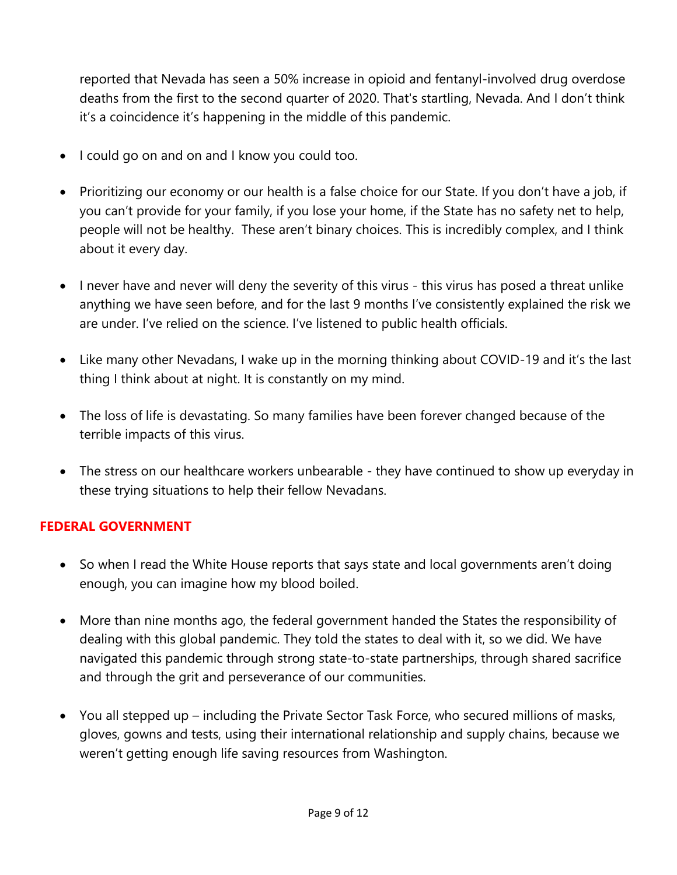reported that Nevada has seen a 50% increase in opioid and fentanyl-involved drug overdose deaths from the first to the second quarter of 2020. That's startling, Nevada. And I don't think it's a coincidence it's happening in the middle of this pandemic.

- I could go on and on and I know you could too.
- Prioritizing our economy or our health is a false choice for our State. If you don't have a job, if you can't provide for your family, if you lose your home, if the State has no safety net to help, people will not be healthy. These aren't binary choices. This is incredibly complex, and I think about it every day.
- I never have and never will deny the severity of this virus this virus has posed a threat unlike anything we have seen before, and for the last 9 months I've consistently explained the risk we are under. I've relied on the science. I've listened to public health officials.
- Like many other Nevadans, I wake up in the morning thinking about COVID-19 and it's the last thing I think about at night. It is constantly on my mind.
- The loss of life is devastating. So many families have been forever changed because of the terrible impacts of this virus.
- The stress on our healthcare workers unbearable they have continued to show up everyday in these trying situations to help their fellow Nevadans.

#### **FEDERAL GOVERNMENT**

- So when I read the White House reports that says state and local governments aren't doing enough, you can imagine how my blood boiled.
- More than nine months ago, the federal government handed the States the responsibility of dealing with this global pandemic. They told the states to deal with it, so we did. We have navigated this pandemic through strong state-to-state partnerships, through shared sacrifice and through the grit and perseverance of our communities.
- You all stepped up including the Private Sector Task Force, who secured millions of masks, gloves, gowns and tests, using their international relationship and supply chains, because we weren't getting enough life saving resources from Washington.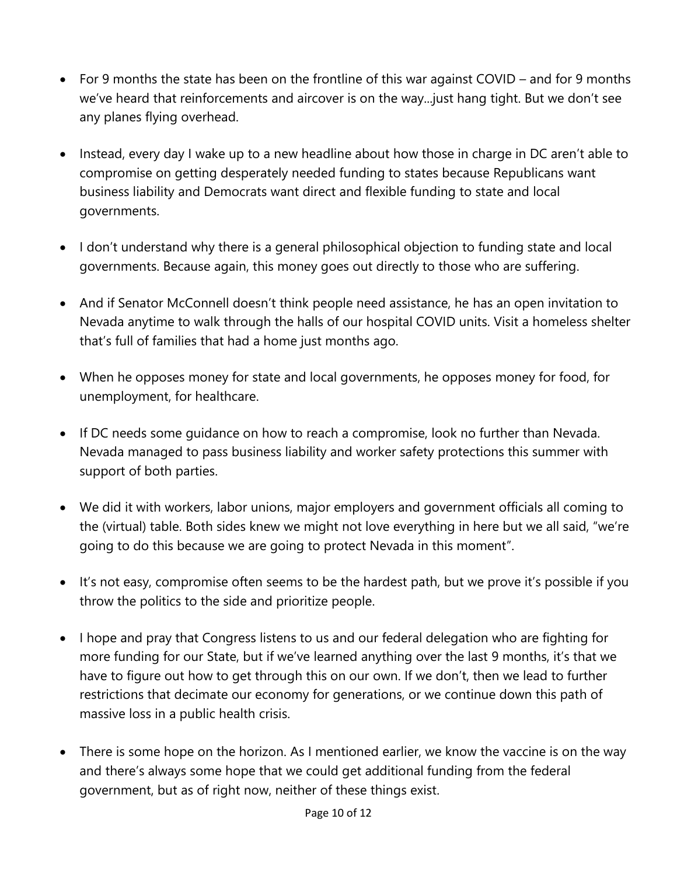- For 9 months the state has been on the frontline of this war against COVID and for 9 months we've heard that reinforcements and aircover is on the way...just hang tight. But we don't see any planes flying overhead.
- Instead, every day I wake up to a new headline about how those in charge in DC aren't able to compromise on getting desperately needed funding to states because Republicans want business liability and Democrats want direct and flexible funding to state and local governments.
- I don't understand why there is a general philosophical objection to funding state and local governments. Because again, this money goes out directly to those who are suffering.
- And if Senator McConnell doesn't think people need assistance, he has an open invitation to Nevada anytime to walk through the halls of our hospital COVID units. Visit a homeless shelter that's full of families that had a home just months ago.
- When he opposes money for state and local governments, he opposes money for food, for unemployment, for healthcare.
- If DC needs some guidance on how to reach a compromise, look no further than Nevada. Nevada managed to pass business liability and worker safety protections this summer with support of both parties.
- We did it with workers, labor unions, major employers and government officials all coming to the (virtual) table. Both sides knew we might not love everything in here but we all said, "we're going to do this because we are going to protect Nevada in this moment".
- It's not easy, compromise often seems to be the hardest path, but we prove it's possible if you throw the politics to the side and prioritize people.
- I hope and pray that Congress listens to us and our federal delegation who are fighting for more funding for our State, but if we've learned anything over the last 9 months, it's that we have to figure out how to get through this on our own. If we don't, then we lead to further restrictions that decimate our economy for generations, or we continue down this path of massive loss in a public health crisis.
- There is some hope on the horizon. As I mentioned earlier, we know the vaccine is on the way and there's always some hope that we could get additional funding from the federal government, but as of right now, neither of these things exist.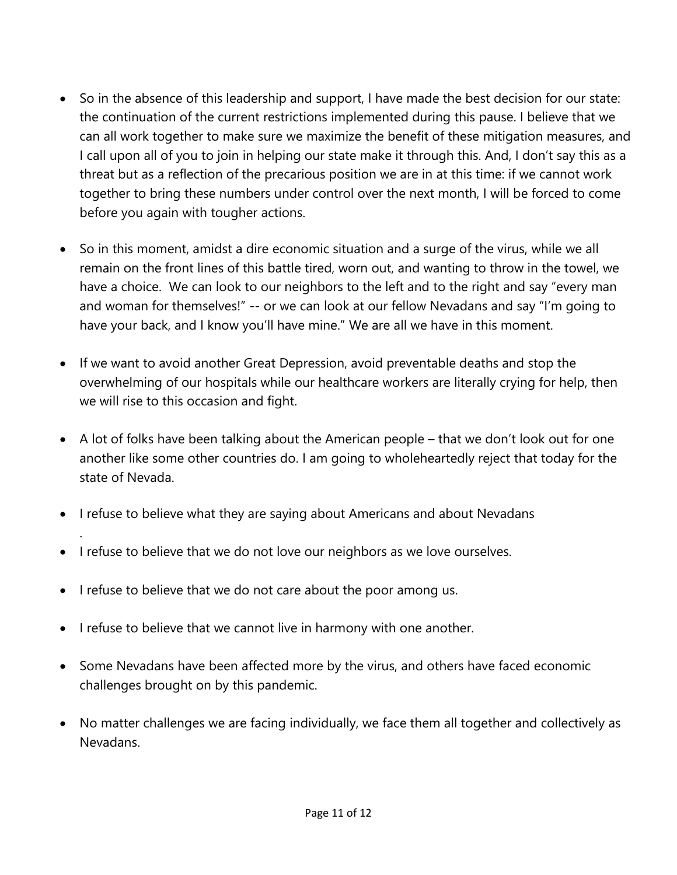- So in the absence of this leadership and support, I have made the best decision for our state: the continuation of the current restrictions implemented during this pause. I believe that we can all work together to make sure we maximize the benefit of these mitigation measures, and I call upon all of you to join in helping our state make it through this. And, I don't say this as a threat but as a reflection of the precarious position we are in at this time: if we cannot work together to bring these numbers under control over the next month, I will be forced to come before you again with tougher actions.
- So in this moment, amidst a dire economic situation and a surge of the virus, while we all remain on the front lines of this battle tired, worn out, and wanting to throw in the towel, we have a choice. We can look to our neighbors to the left and to the right and say "every man and woman for themselves!" -- or we can look at our fellow Nevadans and say "I'm going to have your back, and I know you'll have mine." We are all we have in this moment.
- If we want to avoid another Great Depression, avoid preventable deaths and stop the overwhelming of our hospitals while our healthcare workers are literally crying for help, then we will rise to this occasion and fight.
- A lot of folks have been talking about the American people that we don't look out for one another like some other countries do. I am going to wholeheartedly reject that today for the state of Nevada.
- I refuse to believe what they are saying about Americans and about Nevadans
- I refuse to believe that we do not love our neighbors as we love ourselves.
- I refuse to believe that we do not care about the poor among us.

.

- I refuse to believe that we cannot live in harmony with one another.
- Some Nevadans have been affected more by the virus, and others have faced economic challenges brought on by this pandemic.
- No matter challenges we are facing individually, we face them all together and collectively as Nevadans.